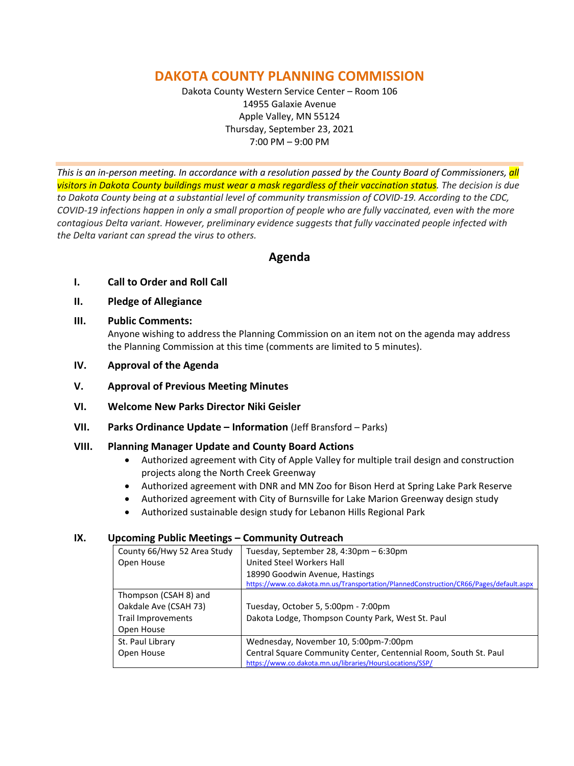# **DAKOTA COUNTY PLANNING COMMISSION**

Dakota County Western Service Center – Room 106 14955 Galaxie Avenue Apple Valley, MN 55124 Thursday, September 23, 2021 7:00 PM – 9:00 PM

*This is an in-person meeting. In accordance with a resolution passed by the County Board of Commissioners, all visitors in Dakota County buildings must wear a mask regardless of their vaccination status. The decision is due to Dakota County being at a substantial level of community transmission of COVID-19. According to the CDC, COVID-19 infections happen in only a small proportion of people who are fully vaccinated, even with the more contagious Delta variant. However, preliminary evidence suggests that fully vaccinated people infected with the Delta variant can spread the virus to others.*

## **Agenda**

- **I. Call to Order and Roll Call**
- **II. Pledge of Allegiance**
- **III. Public Comments:**

Anyone wishing to address the Planning Commission on an item not on the agenda may address the Planning Commission at this time (comments are limited to 5 minutes).

- **IV. Approval of the Agenda**
- **V. Approval of Previous Meeting Minutes**
- **VI. Welcome New Parks Director Niki Geisler**
- **VII. Parks Ordinance Update – Information** (Jeff Bransford Parks)

#### **VIII. Planning Manager Update and County Board Actions**

- Authorized agreement with City of Apple Valley for multiple trail design and construction projects along the North Creek Greenway
- Authorized agreement with DNR and MN Zoo for Bison Herd at Spring Lake Park Reserve
- Authorized agreement with City of Burnsville for Lake Marion Greenway design study
- Authorized sustainable design study for Lebanon Hills Regional Park

#### **IX. Upcoming Public Meetings – Community Outreach**

| County 66/Hwy 52 Area Study | Tuesday, September 28, 4:30pm - 6:30pm                                                 |
|-----------------------------|----------------------------------------------------------------------------------------|
| Open House                  | United Steel Workers Hall                                                              |
|                             | 18990 Goodwin Avenue, Hastings                                                         |
|                             | https://www.co.dakota.mn.us/Transportation/PlannedConstruction/CR66/Pages/default.aspx |
| Thompson (CSAH 8) and       |                                                                                        |
| Oakdale Ave (CSAH 73)       | Tuesday, October 5, 5:00pm - 7:00pm                                                    |
| Trail Improvements          | Dakota Lodge, Thompson County Park, West St. Paul                                      |
| Open House                  |                                                                                        |
| St. Paul Library            | Wednesday, November 10, 5:00pm-7:00pm                                                  |
| Open House                  | Central Square Community Center, Centennial Room, South St. Paul                       |
|                             | https://www.co.dakota.mn.us/libraries/HoursLocations/SSP/                              |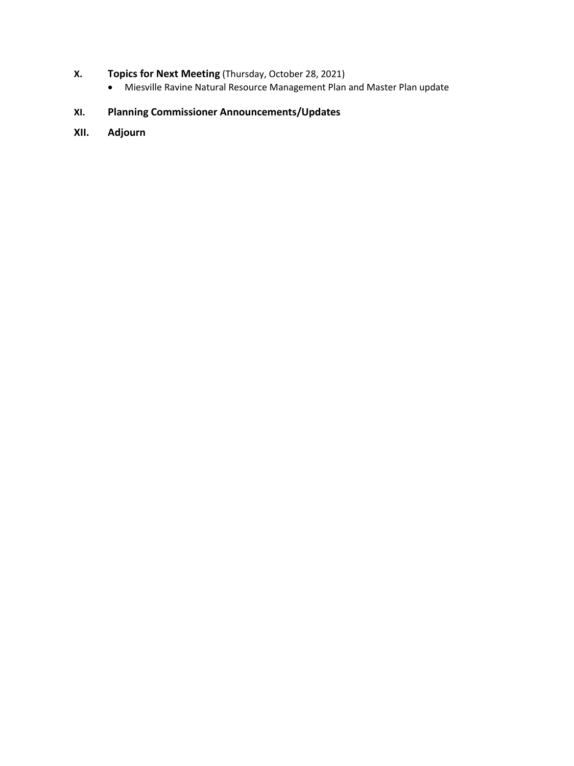## **X. Topics for Next Meeting** (Thursday, October 28, 2021)

• Miesville Ravine Natural Resource Management Plan and Master Plan update

# **XI. Planning Commissioner Announcements/Updates**

**XII. Adjourn**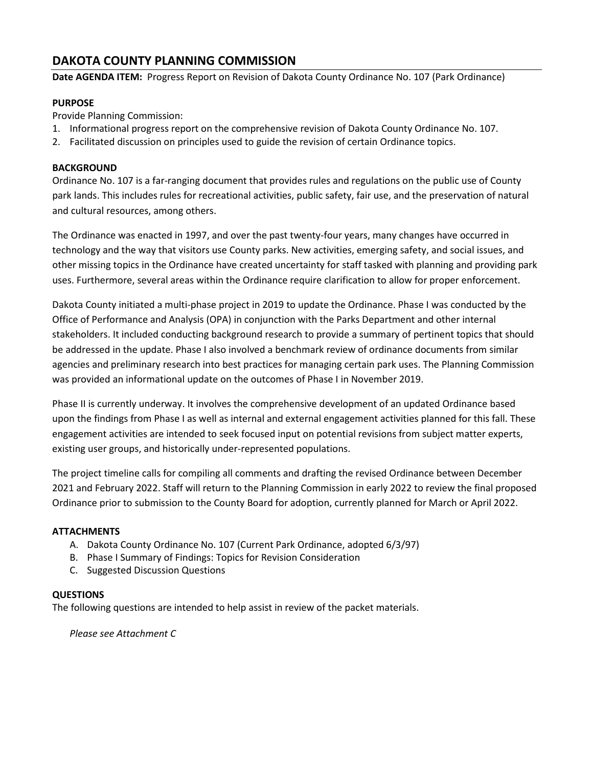## **DAKOTA COUNTY PLANNING COMMISSION**

**Date AGENDA ITEM:** Progress Report on Revision of Dakota County Ordinance No. 107 (Park Ordinance)

#### **PURPOSE**

Provide Planning Commission:

- 1. Informational progress report on the comprehensive revision of Dakota County Ordinance No. 107.
- 2. Facilitated discussion on principles used to guide the revision of certain Ordinance topics.

#### **BACKGROUND**

Ordinance No. 107 is a far-ranging document that provides rules and regulations on the public use of County park lands. This includes rules for recreational activities, public safety, fair use, and the preservation of natural and cultural resources, among others.

The Ordinance was enacted in 1997, and over the past twenty-four years, many changes have occurred in technology and the way that visitors use County parks. New activities, emerging safety, and social issues, and other missing topics in the Ordinance have created uncertainty for staff tasked with planning and providing park uses. Furthermore, several areas within the Ordinance require clarification to allow for proper enforcement.

Dakota County initiated a multi-phase project in 2019 to update the Ordinance. Phase I was conducted by the Office of Performance and Analysis (OPA) in conjunction with the Parks Department and other internal stakeholders. It included conducting background research to provide a summary of pertinent topics that should be addressed in the update. Phase I also involved a benchmark review of ordinance documents from similar agencies and preliminary research into best practices for managing certain park uses. The Planning Commission was provided an informational update on the outcomes of Phase I in November 2019.

Phase II is currently underway. It involves the comprehensive development of an updated Ordinance based upon the findings from Phase I as well as internal and external engagement activities planned for this fall. These engagement activities are intended to seek focused input on potential revisions from subject matter experts, existing user groups, and historically under-represented populations.

The project timeline calls for compiling all comments and drafting the revised Ordinance between December 2021 and February 2022. Staff will return to the Planning Commission in early 2022 to review the final proposed Ordinance prior to submission to the County Board for adoption, currently planned for March or April 2022.

#### **ATTACHMENTS**

- A. Dakota County Ordinance No. 107 (Current Park Ordinance, adopted 6/3/97)
- B. Phase I Summary of Findings: Topics for Revision Consideration
- C. Suggested Discussion Questions

#### **QUESTIONS**

The following questions are intended to help assist in review of the packet materials.

*Please see Attachment C*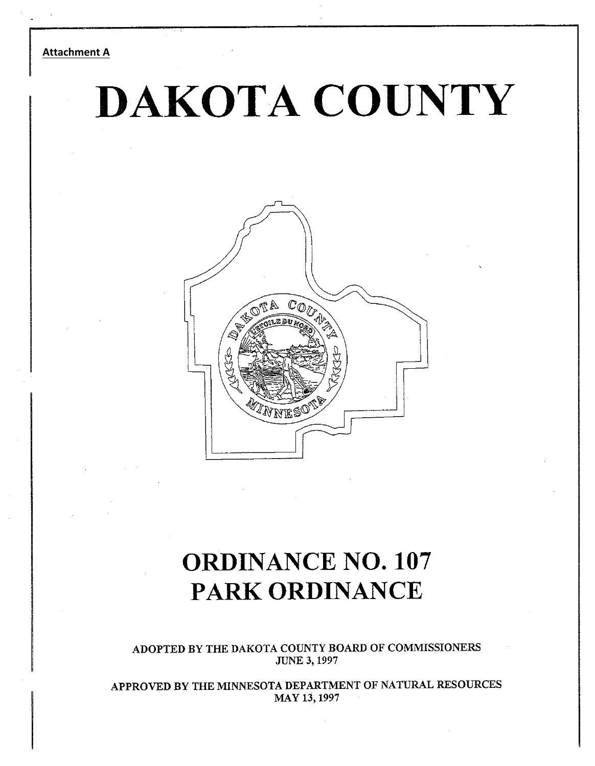#### **Attachment A**

# DAKOTA COUNTY



# **ORDINANCE NO. 107 PARK ORDINANCE**

**ADOPTED BY THE DAKOTA COUNTY BOARD OF COMMISSIONERS JUNE 3,1997** 

**APPROVED BY THE MINNESOTA DEPARTMENT OF NATURAL RESOURCES MAY 13,1997**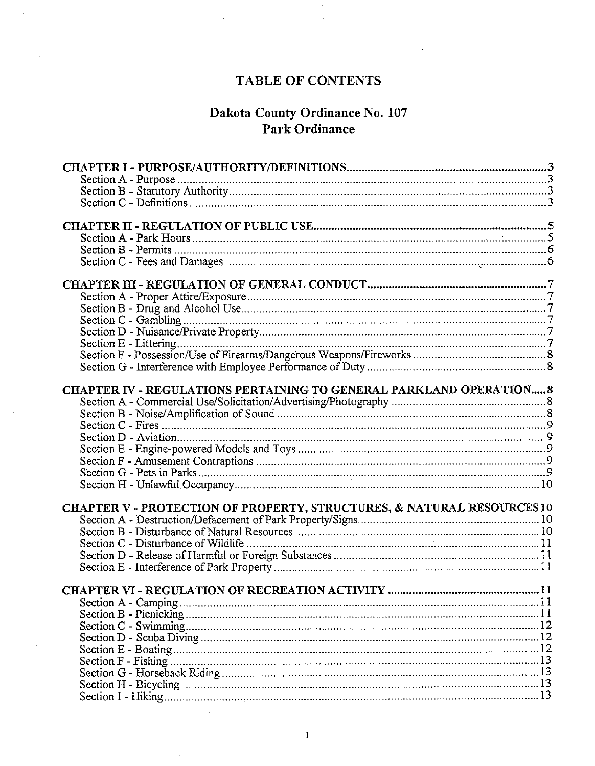# TABLE OF CONTENTS

# **Dakota County Ordinance No. 107<br>Park Ordinance**

| CHAPTER IV - REGULATIONS PERTAINING TO GENERAL PARKLAND OPERATION 8    |  |
|------------------------------------------------------------------------|--|
|                                                                        |  |
|                                                                        |  |
|                                                                        |  |
|                                                                        |  |
|                                                                        |  |
|                                                                        |  |
|                                                                        |  |
|                                                                        |  |
|                                                                        |  |
| CHAPTER V - PROTECTION OF PROPERTY, STRUCTURES, & NATURAL RESOURCES 10 |  |
|                                                                        |  |
|                                                                        |  |
|                                                                        |  |
|                                                                        |  |
|                                                                        |  |
|                                                                        |  |
|                                                                        |  |
|                                                                        |  |
|                                                                        |  |
|                                                                        |  |
|                                                                        |  |
|                                                                        |  |
|                                                                        |  |
|                                                                        |  |
|                                                                        |  |
|                                                                        |  |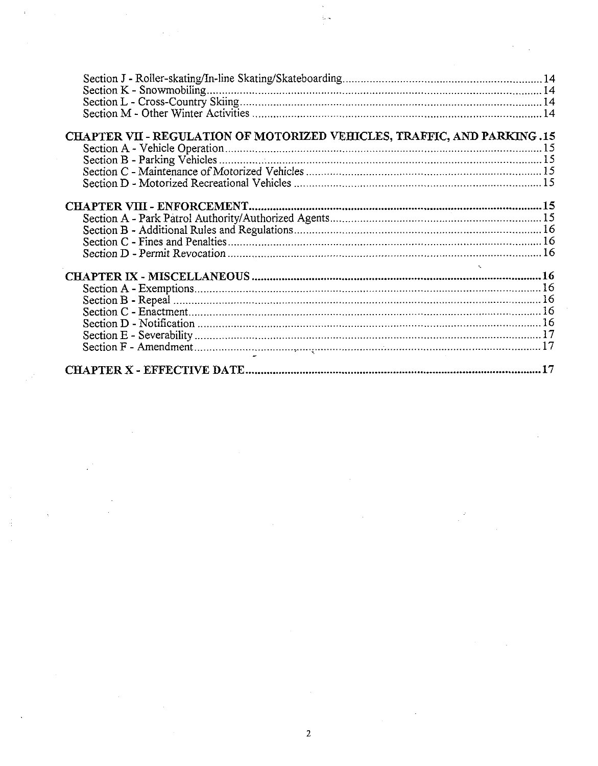| Section K - Snowmobiling                                                 |  |
|--------------------------------------------------------------------------|--|
|                                                                          |  |
|                                                                          |  |
|                                                                          |  |
| CHAPTER VII - REGULATION OF MOTORIZED VEHICLES, TRAFFIC, AND PARKING .15 |  |
|                                                                          |  |
|                                                                          |  |
|                                                                          |  |
|                                                                          |  |
|                                                                          |  |
|                                                                          |  |
|                                                                          |  |
|                                                                          |  |
|                                                                          |  |
|                                                                          |  |
|                                                                          |  |
|                                                                          |  |
|                                                                          |  |
|                                                                          |  |
|                                                                          |  |
|                                                                          |  |
|                                                                          |  |
|                                                                          |  |
|                                                                          |  |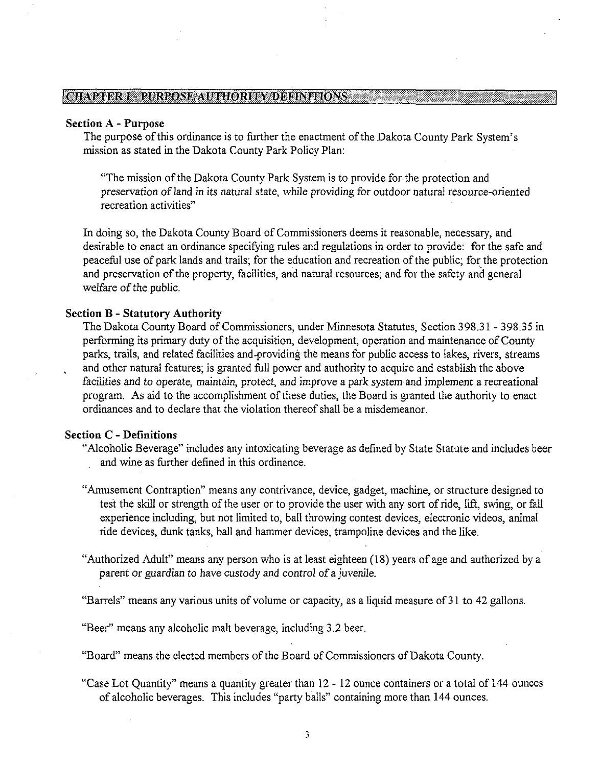#### CHAPTER I - PURPOSE AUTHORITY DEFINITIONS

#### **Section A -Purpose**

The purpose of this ordinance is to further the enactment of the Dakota County Park System's mission as stated in the Dakota County Park Policy Plan:

"The mission of the Dakota County Park System is to provide for the protection and preservation of land in its natural state, while providing for outdoor natural resource-oriented recreation activities"

In doing so, the Dakota County Board of Commissioners deems it reasonable, necessary, and desirable to enact an ordinance specifying rules and regulations in order to provide: for the safe and peaceful use of park lands and trails; for the education and recreation of the public; for the protection and preservation of the property, facilities, and natural resources; and for the safety and general welfare of the public.

#### **Section B** - **Statutory Authority**

The Dakota County Board of Commissioners, under Minnesota Statutes, Section 398.3 1 - 398.35 in performing its primary duty of the acquisition, development, operation and maintenance of County parks, trails, and related facilities and-providing the means for public access to lakes, rivers, streams . and other natural features; is granted full power and authority to acquire and establish the above facilities and to operate, maintain, protect, and improve a park system and implement a recreational program. As aid to the accomplishment of these duties, the Board is granted the authority to enact ordinances and to declare that the violation thereof shall be a misdemeanor.

#### **Section C** - **Definitions**

- "Alcoholic Beverage" includes any intoxicating beverage as defined by State Statute and includes beer and wine as further defined in this ordinance.
- "Amusement Contraption" means any contrivance, device, gadget, machine, or structure designed to test the skill or strength of the user or to provide the user with any sort of ride, lift, swing, or fall experience including, but not limited to, ball throwing contest devices, electronic videos, animal ride devices, dunk tanks, ball and hammer devices, trampoline devices and the like.
- "Authorized Adult" means any person who is at least eighteen (18) years of age and authorized by a parent or guardian to have custody and control of a juvenile.
- "Barrels" means any various units of volume or capacity, as a liquid measure of 3 1 to 42 gallons.

"Beer" means any alcoholic malt beverage, including 3.2 beer.

"Board" means the elected members of the Board of Commissioners of Dakota County.

"Case Lot Quantity" means a quantity greater than 12 - 12 ounce containers or a total of 144 ounces of alcoholic beverages. This includes "party balls" containing more than 144 ounces.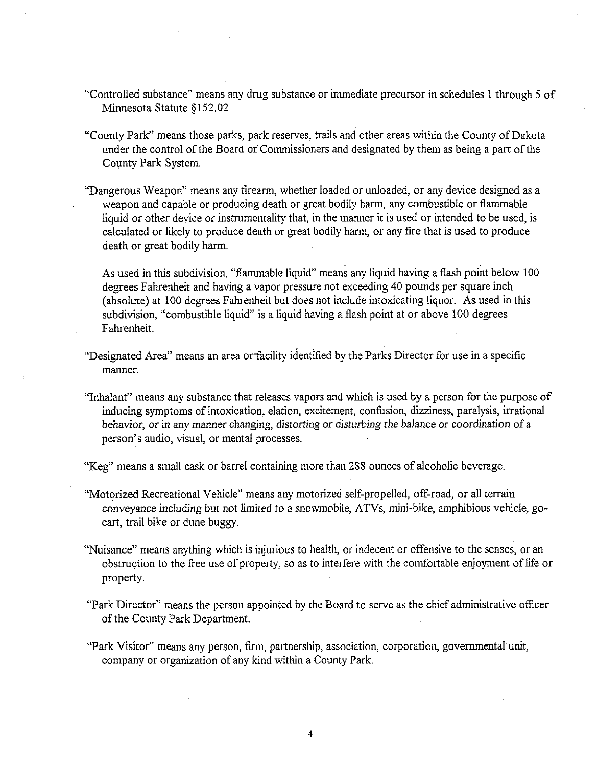- "Controlled substance" means any drug substance or immediate precursor in schedules 1 through 5 of Minnesota Statute 3152.02.
- "County Park" means those parks, park reserves, trails and other areas within the County of Dakota under the control of the Board of Commissioners and designated by them as being a part of the County Park System.
- "Dangerous Weapon" means any firearm, whether loaded or unloaded, or any device designed as a weapon and capable or producing death or great bodily harm, any combustible or flammable liquid or other device or instrumentality that, in the manner it is used or intended to be used, is calculated or likely to produce death or great bodily harm, or any fire that is used to produce death or great bodily harm.

As used in this subdivision, "flammable liquid" means any liquid having a flash point below 100 degrees Fahrenheit and having a vapor pressure not exceeding 40 pounds per square inch (absolute) at 100 degrees Fahrenheit but does not include intoxicating liquor. As used in this subdivision, "combustible liquid" is a liquid having a flash point at or above 100 degrees Fahrenheit.

- "Designated Area" means an area orfacility identified by the Parks Director for use in a specific manner.
- "Inhalant" means any substance that releases vapors and which is used by a person for the purpose of inducing symptoms of intoxication, elation, excitement, confusion, dizziness, paralysis, irrational behavior, or in any manner changing, distorting or disturbing the balance or coordination of a person's audio, visual, or mental processes.

"Keg" means a small cask or barrel containing more than 288 ounces of alcoholic beverage

- "Motorized Recreational Vehicle" means any motorized self-propelled, off-road, or all terrain conveyance including but not limited to a snomobjle, ATVs, mini-bike, amphibious vehicle, gocart, trail bike or dune buggy.
- "Nuisance" means anything which is injurious to health, or indecent or offensive to the senses, or an obstruction to the free use of property, so as to interfere with the comfortable enjoyment of life or property.
- "Park Director" means the person appointed by the Board to serve as the chief administrative oficer of the County Park Department.
- "Park Visitor" means any person, firm, partnership, association, corporation, governmental unit, company or organization of any kind within a County Park.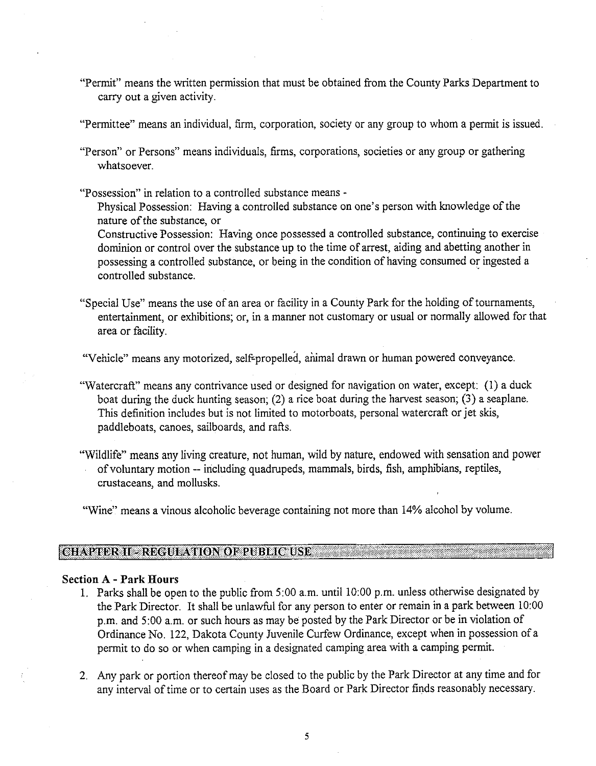- "Permit" means the written permission that must be obtained from the County Parks Department to carry out a given activity.
- "Permittee" means an individual, firm, corporation, society or any group to whom a permit is issued.
- "Person" or Persons" means individuals, firms, corporations, societies or any group or gathering whatsoever.
- "Possession" in relation to a controlled substance means
	- Physical Possession: Having a controlled substance on one's person with knowledge of the nature of the substance, or

Constructive Possession: Having once possessed a controlled substance, continuing to exercise dominion or control over the substance up to the time of arrest, aiding and abetting another in possessing a controlled substance, or being in the condition of having consumed or ingested a controlled substance.

"Special Use" means the use of an area or facility in a County Park for the holding of tournaments, entertainment, or exhibitions; or, in a manner not customary or usual or normally allowed for that area or facility.

"Vehicle" means any motorized, self-propelled, animal drawn or human powered conveyance.

- "Watercraft" means any contrivance used or designed for navigation on water, except: (1) a duck boat during the duck hunting season; (2) a rice boat during the harvest season; **(3)** a seaplane. This definition includes but is not limited to motorboats, personal watercraft or jet skis, paddleboats, canoes, sailboards, and rafts.
- "Wildlife" means any living creature, not human, wild by nature, endowed with sensation and power of voluntary motion -- including quadmpeds, mammals, birds, fish, amphibians, reptiles, crustaceans, and mollusks.
- "Wine" means a vinous alcoholic beverage containing not more than 14% alcohol by volume.

#### CHAPTER **II- REGULATION OF PUBLIC USE**

#### **Section A** - **Park Hours**

- 1. Parks shall be open to the public from 5:00 a.m. until 10:OO p.m. unless otherwise designated by the Park Director. It shall be unlawful for any person to enter or remain in a park between 10:00 p.m. and 5:00 a.m. or such hours as may be posted by the Park Director or be in violation of Ordinance No. 122, Dakota County Juvenile Curfew Ordinance, except when in possession of a permit to do so or when camping in a designated camping area with a camping permit.
- 2. Any park or portion thereof may be closed to the public by the Park Director at any time and for any interval of time or to certain uses as the Board or Park Director finds reasonably necessary.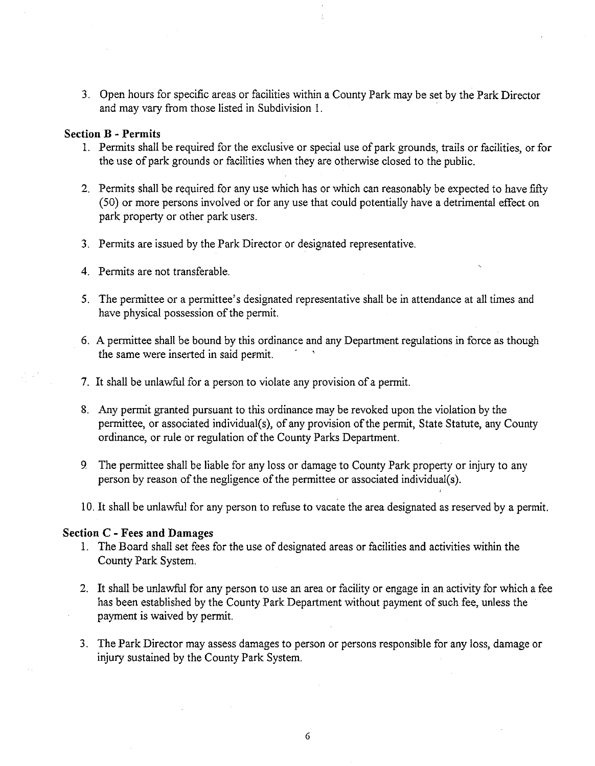3. Open hours for specific areas or facilities within a County Park may be set by the Park Director and may vary from those listed in Subdivision 1.

#### **Section B** - **Permits**

- 1. Permits shall be required for the exclusive or special use of park grounds, trails or facilities, or for the use of park grounds or facilities when they are otherwise closed to the public.
- 2. Permits shall be required for any use which has or which can reasonably be expected to have fifty (50) or more persons involved or for any use that could potentially have a detrimental effect on park property or other park users.
- 3. Permits are issued by the Park Director or designated representative
- 4. Permits are not transferable.
- 5. The permittee or a permittee's designated representative shall be in attendance at all times and have physical possession of the permit.
- 6. A permittee shall be bound by this ordinance and any Department regulations in force as though the same were inserted in said permit.
- 7. It shall be unlawful for a person to violate any provision of a permit.
- 8. Any permit granted pursuant to this ordinance may be revoked upon the violation by the permittee, or associated individual(s), of any provision of the permit, State Statute, any County ordinance, or rule or regulation of the County Parks Department.
- 9 The permittee shall be liable for any loss or damage to County Park property or injury to any person by reason of the negligence of the permittee or associated individual(s).
- 10. It shall be unlawful for any person to refuse to vacate the area designated as reserved by a permit.

#### **Section C** - **Fees and Damages**

- 1. The Board shall set fees for the use of designated areas or facilities and activities within the County Park System.
- 2. It shall be unlawful for any person to use an area or facility or engage in an activity for which a fee has been established by the County Park Department without payment of such fee, unless the payment is waived by permit.
- 3. The Park Director may assess damages to person or persons responsible for any loss, damage or injury sustained by the County Park System.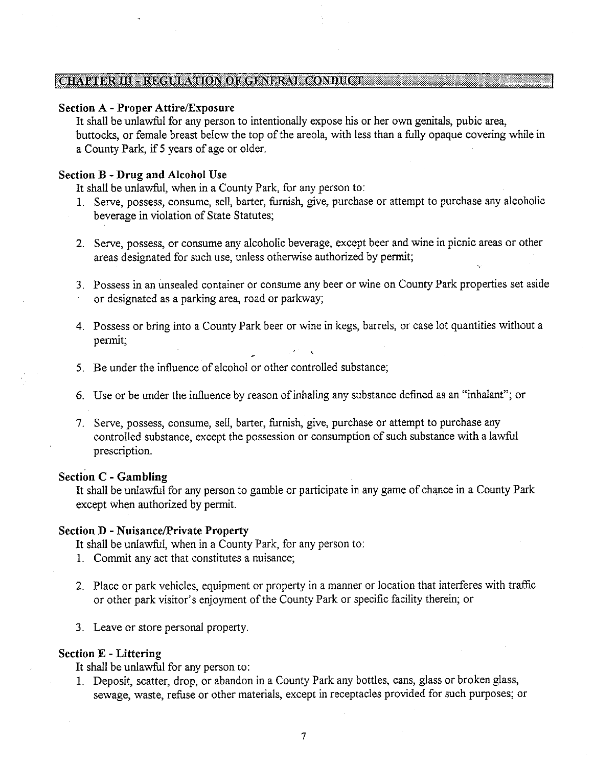#### [CHAPTER **El** - **REGULATION OF** GER'ERAL **COSDUCT**

#### Section A - Proper Attire/Exposure

It shall be unlawful for any person to intentionally expose his or her own genitals, pubic area, buttocks, or female breast below the top of the areola, with less than a fully opaque covering while in a County Park, if **5** years of age or older.

#### Section B -Drug and Alcohol Use

It shall be unlawful, when in a County Park, for any person to:

- 1. Serve, possess, consume, sell, barter, furnish, give, purchase or attempt to purchase any alcoholic beverage in violation of State Statutes;
- **2.** Serve, possess, or consume any alcoholic beverage, except beer and wine in picnic areas or other areas designated for such use, unless otherwise authorized by permit;
- **3.** Possess in an unsealed container or consume any beer or wine on County Park properties set aside or designated as a parking area, road or parkway;
- 4. Possess or bring into a County Park beer or wine in kegs, barrels, or case lot quantities without a permit;  $\omega_{\rm eff} = 1.35\pm0.001$
- 5. Be under the influence of alcohol or other controlled substance:
- 6. Use or be under the influence by reason of inhaling any substance defined as an "inhalant"; or
- **7.** Serve, possess, consume, sell, barter, furnish, give, purchase or attempt to purchase any controlled substance, except the possession or consumption of such substance with a lawful prescription.

#### Section **C** - Gambling

It shall be unlawful for any person to gamble or participate in any game of chance in a County Park except when authorized by permit.

#### Section D - Nuisance/Private Property

It shall be unlawful, when in a County Park, for any person to:

- 1. Commit any act that constitutes a nuisance;
- 2. Place or park vehicles, equipment or property in a manner or location that interferes with traffic or other park visitor's enjoyment of the County Park or specific facility therein; or
- **3.** Leave or store personal property

#### Section E -Littering

It shall be unlawful for any person to:

1. Deposit, scatter, drop, or abandon in a County Park any bottles, cans, glass or broken glass, sewage, waste, refuse or other materials, except in receptacles provided for such purposes; or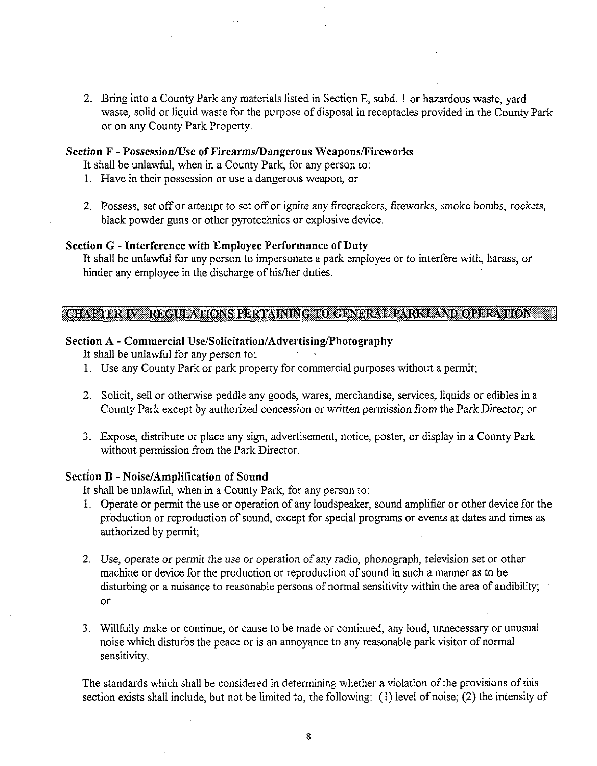2. Bring into a County Park any materials listed in Section E, subd. 1 or hazardous waste, yard waste, solid or liquid waste for the purpose of disposal in receptacles provided in the County Park or on any County Park Property.

#### Section F - Possession/Use of Firearms/Dangerous Weapons/Fireworks

It shall be unlawful, when in a County Park, for any person to:

- 1. Have in their possession or use a dangerous weapon, or
- 2. Possess, set off or attempt to set off or ignite any firecrackers, fireworks, smoke bombs, rockets, black powder guns or other pyrotechnics or explosive device.

#### Section *G* - Interference with Employee Performance of Duty

It shaU be unlawful for any person to impersonate a park employee or to interfere with, harass, or hinder any employee in the discharge of his/her duties.

#### **ICHAPTER IV** - **REGULATIONS PERTAINING TO GENERAL PARKLAND OPERATION** <sup>1</sup>

#### Section A - Commercial **Use/Solicitation/Advertising/Photography**

It shall be unlawful for any person to:

- 1. Use any County Park or park property for commercial purposes without a permit;
- 2. Solicit, sell or otherwise peddle any goods, wares, merchandise, services, liquids or edibles in a County Park except by authorized concession or written permission from the Park Director; or
- 3. Expose, distribute or place any sign, advertisement, notice, poster, or display in a County Park without permission from the Park Director.

#### Section B - Noise/Amplification of Sound

It shall be unlawful, when in a County Park, for any person to:

- 1. Operate or permit the use or operation of any loudspeaker, sound amplifier or other device for the production or reproduction of sound, except for special programs or events at dates and times as authorized by permit;
- 2. Use, operate or permit the use or operation of any radio, phonograph, television set or other machine or device for the production or reproduction of sound in such a manner as to be disturbing or a nuisance to reasonable persons of normal sensitivity within the area of audibility; or
- 3. Willhlly make or continue, or cause to be made or continued, any loud, unnecessary or unusual noise which disturbs the peace or is an annoyance to any reasonable park visitor of normal sensitivity.

The standards which shall be considered in determining whether a violation of the provisions of this section exists shall include, but not be limited to, the following: (1) level of noise; (2) the intensity of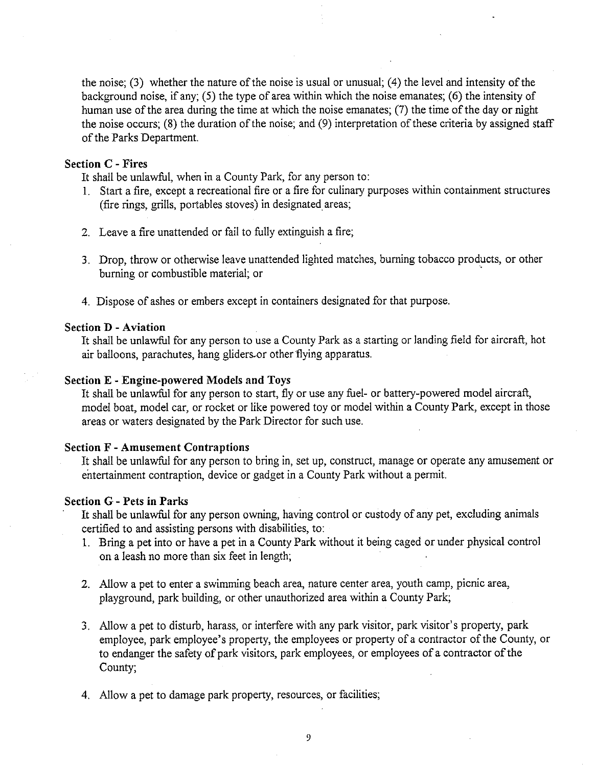the noise; **(3)** whether the nature of the noise is usual or unusual; (4) the level and intensity of the background noise, if any; (5) the type of area within which the noise emanates; (6) the intensity of human use of the area during the time at which the noise emanates; **(7)** the time of the day or night the noise occurs; (8) the duration of the noise; and (9) interpretation of these criteria by assigned staff of the Parks Department.

#### Section C - Fires

It shall be unlawful, when in a County Park, for any person to:

- 1. Start a fire, except a recreational fire or a fire for culinary purposes within containment structures (fire rings, grills, portables stoves) in designated areas;
- 2. Leave a fire unattended or fail to fully extinguish a fire;
- **3.** Drop, throw or otherwise leave unattended lighted matches, burning tobacco products, or other burning or combustible material; or
- 4. Dispose of ashes or embers except in containers designated for that purpose

#### Section D -Aviation

It shall be unlawful for any person to use a County Park as a starting or landing field for aircraft, hot air balloons, parachutes, hang gliders-or other flying apparatus.

#### Section E - Engine-powered Models and Toys

It shall be unlawful for any person to start, fly or use any fuel- or battery-powered model aircraft, model boat, model car, or rocket or like powered toy or model within a County Park, except in those areas or waters designated by the Park Director for such use.

#### Section F - Amusement Contraptions

It shall be unlawful for any person to bring in, set up, construct, manage or operate any amusement or entertainment contraption, device or gadget in a County Park without a permit.

#### Section G - Pets in Parks

It shall be unlawful for any person owning, having control or custody of any pet, excluding animals certified to and assisting persons with disabilities, to:

- 1. Bring a pet into or have a pet in a County Park without it being caged or under physical control on a leash no more than six feet in length;
- 2. Allow a pet to enter a swimming beach area, nature center area, youth camp, picnic area, playground, park building, or other unauthorized area within a County Park;
- **3.** Allow a pet to disturb, harass, or interfere with any park visitor, park visitor's property, park employee, park employee's property, the employees or property of a contractor of the County, or to endanger the safety of park visitors, park employees, or employees of a contractor of the County;
- 4. Allow a pet to damage park property, resources, or facilities;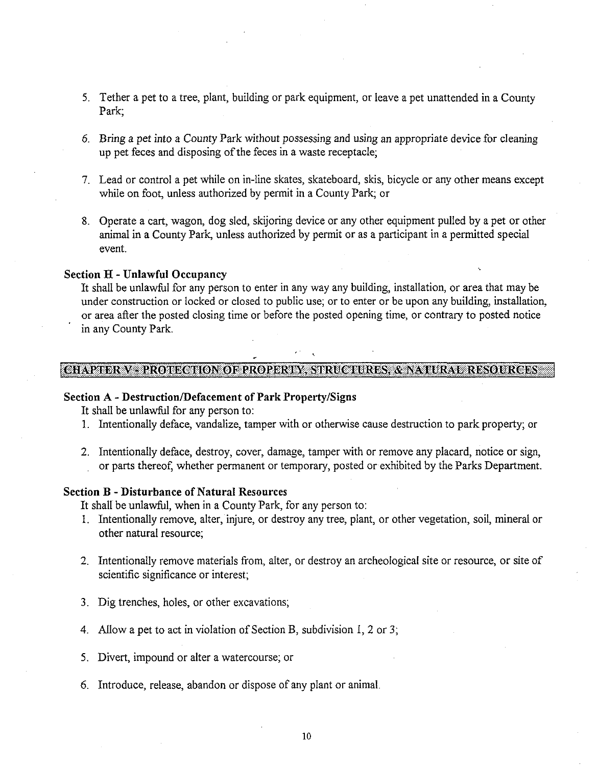- 5. Tether a pet to a tree, plant, building or park equipment, or leave a pet unattended in a County Park;
- 6. Bring a pet into a County Park without possessing and using an appropriate device for cleaning up pet feces and disposing of the feces in a waste receptacle;
- 7. Lead or control a pet while on in-line skates, skateboard, skis, bicycle or any other means except while on foot, unless authorized by permit in a County Park; or
- 8. Operate a cart, wagon, dog sled, skijoring device or any other equipment pulled by a pet or other animal in a County Park, unless authorized by permit or as a participant in a permitted special event.

#### Section H - Unlawful Occupancy

It shall be unlawful for any person to enter in any way any building, installation, or area that may be under construction or locked or closed to public use; or to enter or be upon any building, installation, or area after the posted closing time or before the posted opening time, or contrary to posted notice in any County Park.

#### CHAPTER V - PROTECTION OF PROPERTY, STRUCTURES, & NATURAL RESOURCES

#### Section **A** - Destruction/Defacement of Park Property/Signs

It shall be unlawful for any person to:

- 1. Intentionally deface, vandalize, tamper with or otherwise cause destruction to park property; or
- 2. Intentionally deface, destroy, cover, damage, tamper with or remove any placard, notice or sign, or parts thereof, whether permanent or temporary, posted or exhibited by the Parks Department.

#### Section B - Disturbance of Natural Resources

It shall be unlawful, when in a County Park, for any person to:

- 1. Intentionally remove, alter, injure, or destroy any tree, plant, or other vegetation, soil, mineral or other natural resource;
- 2. Intentionally remove materials from, alter, or destroy an archeological site or resource, or site of scientific significance or interest;
- **3.** Dig trenches, holes, or other excavations;
- 4. Allow a pet to act in violation of Section B, subdivision I, 2 or **3;**
- 5. Divert, impound or alter a watercourse; or
- 6. Introduce, release, abandon or dispose of any plant or animal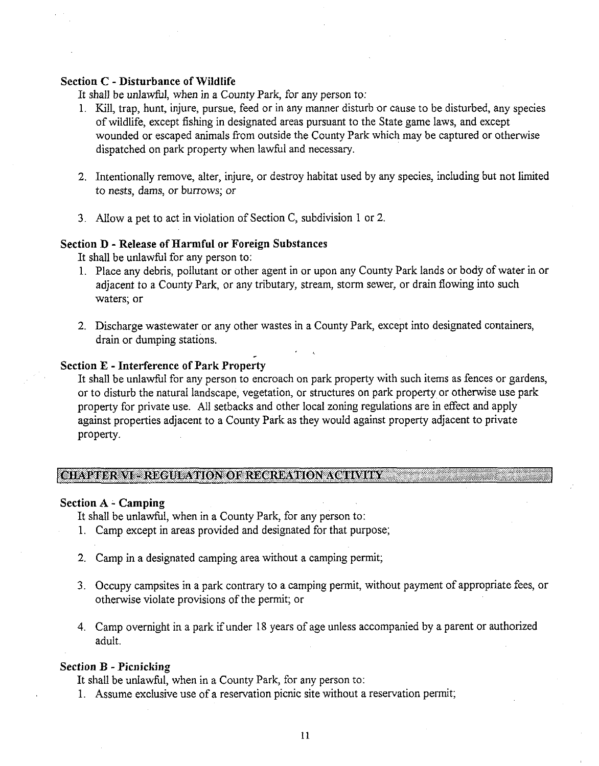#### Section *C* - Disturbance of Wildlife

It shall be unlawful, when in a County Park, for any person to:

- 1. Kill, trap, hunt, injure, pursue, feed or in any manner disturb or cause to be disturbed, any species of wildlife, except fishing in designated areas pursuant to the State game laws, and except wounded or escaped animals from outside the County Park which may be captured or otherwise dispatched on park property when lawful and necessary.
- 2. Intentionally remove, alter, injure, or destroy habitat used by any species, including but not limited to nests, dams, or burrows; or
- **3.** Allow a pet to act in violation of Section C, subdivision 1 or 2.

**r** 

#### Section D - Release of Harmful or Foreign Substances

It shall be unlawful for any person to:

- 1. Place any debris, pollutant or other agent in or upon any County Park lands or body of water in or adjacent to a County Park, or any tributary, stream, storm sewer, or drain flowing into such waters; or
- 2. Discharge wastewater or any other wastes in a County Park, except into designated containers, drain or dumping stations.

#### Section **E** - Interference of Park Property

It shall be unlawful for any person to encroach on park property with such items as fences or gardens, or to disturb the natural landscape, vegetation, or structures on park property or otherwise use park property for private use. All setbacks and other local zoning regulations are in effect and apply against properties adjacent to a County Park as they would against property adjacent to private property.

#### **ICWPTER M** - **REGULATION OF RECREATION ACTMTY** <sup>I</sup>

#### Section **A** - Camping

It shall be unlawful, when in a County Park, for any person to:

- 1. Camp except in areas provided and designated for that purpose;
- 2. Camp in a designated camping area without a camping permit;
- **3.** Occupy campsites in a park contrary to a camping permit, without payment of appropriate fees, or otherwise violate provisions of the permit; or
- 4. Camp overnight in a park if under 18 years of age unless accompanied by a parent or authorized adult.

#### Section B - Picnicking

It shall be unlawful, when in a County Park, for any person to:

1. Assume exclusive use of a reservation picnic site without a reservation permit;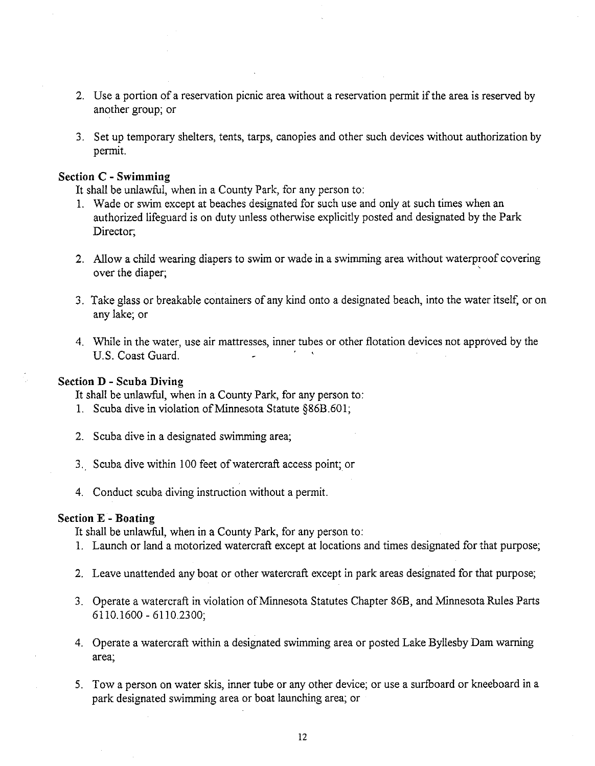- 2. Use a portion of a reservation picnic area without a reservation permit if the area is reserved by another group; or
- 3. Set up temporary shelters, tents, tarps, canopies and other such devices without authorization by permit.

#### Section **C** - Swimming

It shall be unlawful, when in a County Park, for any person to:

- 1. Wade or swim except at beaches designated for such use and only at such times when an authorized lifeguard is on duty unless otherwise explicitly posted and designated by the Park Director;
- 2. Allow a child wearing diapers to swim or wade in a swimming area without waterproof covering over the diaper;
- 3. Take glass or breakable containers of any kind onto a designated beach, into the water itself, or on any lake; or
- 4. While in the water, use air mattresses, inner tubes or other flotation devices not approved by the U.S. Coast Guard.

#### Section D - Scuba Diving

It shall be unlawful, when in a County Park, for any person to:

- 1. Scuba dive in violation of Minnesota Statute §86B.601;
- 2. Scuba dive in a designated swimming area;
- 3. Scuba dive within 100 feet of watercraft access point; or
- 4. Conduct scuba diving instruction without a permit.

#### Section E -Boating

It shall be unlawful, when in a County Park, for any person to:

- 1. Launch or land a motorized watercraft except at locations and times designated for that purpose;
- 2. Leave unattended any boat or other watercraft except in park areas designated for that purpose;
- **3.** Operate a watercraft in violation of Minnesota Statutes Chapter 86B, and Minnesota Rules Parts 6110.1600 - 6110.2300;
- 4. Operate a watercraft within a designated swimming area or posted Lake Byllesby Dam warning area;
- 5. Tow a person on water skis, inner tube or any other device; or use a surfboard or kneeboard in a park designated swimming area or boat launching area; or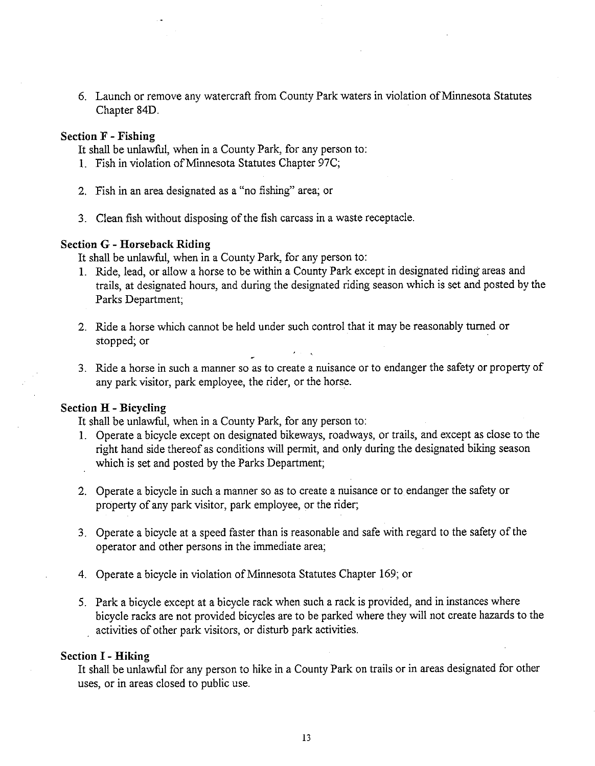6. Launch or remove any watercraft from County Park waters in violation of Minnesota Statutes Chapter 84D.

#### **Section F** - **Fishing**

It shall be unlawful, when in a County Park, for any person to:

- 1. Fish in violation of Minnesota Statutes Chapter 97C;
- 2. Fish in an area designated as a "no fishing" area; or
- **3.** Clean fish without disposing of the fish carcass in a waste receptacle.

#### **Section G** - **Horseback Riding**

It shall be unlawful, when in a County Park, for any person to:

- 1. Ride, lead, or allow a horse to be within a County Park except in designated riding areas and trails, at designated hours, and during the designated riding season which is set and posted by the Parks Department;
- 2. Ride a horse which cannot be held under such control that it may be reasonably turned or stopped; or ,  $\overline{a}$  ,  $\overline{a}$  ,  $\overline{a}$  ,  $\overline{a}$  ,  $\overline{a}$  ,  $\overline{a}$  ,  $\overline{a}$  ,  $\overline{a}$  ,  $\overline{a}$  ,  $\overline{a}$  ,  $\overline{a}$  ,  $\overline{a}$  ,  $\overline{a}$  ,  $\overline{a}$  ,  $\overline{a}$  ,  $\overline{a}$  ,  $\overline{a}$  ,  $\overline{a}$  ,  $\overline{a}$  ,
- **3.** Ride a horse in such a manner so as to create a nuisance or to endanger the safety or property of any park visitor, park employee, the rider, or the horse.

#### **Section H** - **Bicycling**

It shall be unlawful, when in a County Park, for any person to:

- 1. Operate a bicycle except on designated bikeways, roadways, or trails, and except as close to the right hand side thereof as conditions will permit, and only during the designated biking season which is set and posted by the Parks Department;
- 2. Operate a bicycle in such a manner so as to create a nuisance or to endanger the safety or property of any park visitor, park employee, or the rider;
- **3.** Operate a bicycle at a speed faster than is reasonable and safe with regard to the safety of the operator and other persons in the immediate area;
- 4. Operate a bicycle in violation of Minnesota Statutes Chapter 169; or
- 5. Park a bicycle except at a bicycle rack when such a rack is provided, and in instances where bicycle racks are not provided bicycles are to be parked where they will not create hazards to the activities of other park visitors, or disturb park activities.

#### **Section I** - **Hiking**

It shall be unlawful for any person to hike in a County Park on trails or in areas designated for other uses, or in areas closed to public use.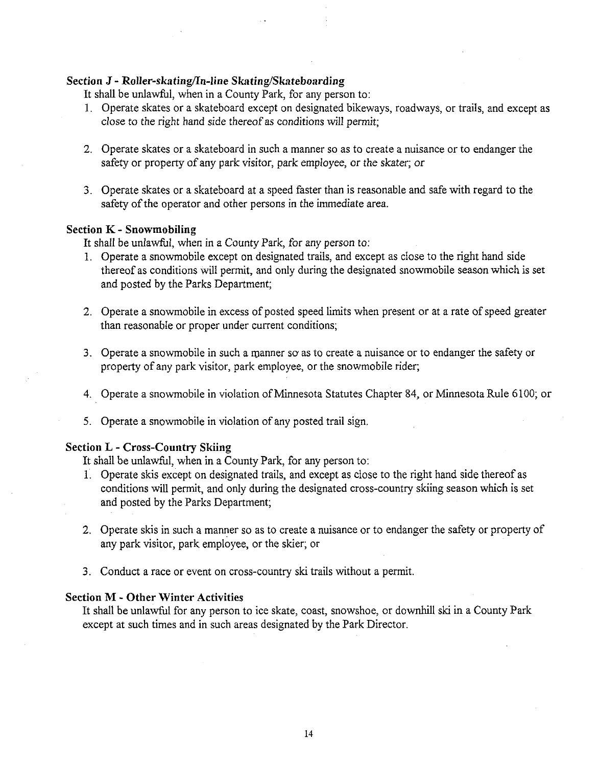#### **Section J - Roller-skating/In-line Skating/Skateboarding**

It shall be unlawful, when in a County Park, for any person to:

- 1. Operate skates or a skateboard except on designated bikeways, roadways, or trails, and except as close to the right hand side thereof as conditions will permit;
- 2. Operate skates or a skateboard in such a manner so as to create a nuisance or to endanger the safety or property of any park visitor, park employee, or the skater; or
- 3. Operate skates or a skateboard at a speed faster than is reasonable and safe with regard to the safety of the operator and other persons in the immediate area.

#### **Section K** - **Snowmobiling**

It shall be unlawful, when in a County Park, for any person to:

- 1. Operate a snowmobile except on designated trails, and except as close to the right hand side thereof as conditions will permit, and only during the designated snowmobile season which is set and posted by the Parks Department;
- 2. Operate a snowmobile in excess of posted speed limits when present or at a rate of speed greater than reasonable or proper under current conditions;
- **3.** Operate a snowmobile in such a manner so as to create a nuisance or to endanger the safety or property of any park visitor, park employee, or the snowmobile rider;
- 4. Operate a snowmobile in violation of Minnesota Statutes Chapter 84, or Minnesota Rule 6100; or
- 5. Operate a snowmobile in violation of any posted trail sign.

#### **Section L** - **Cross-Country Skiing**

It shall be unlawful, when in a County Park, for any person to:

- 1. Operate skis except on designated trails, and except as close to the right hand side thereof as conditions will permit, and only during the designated cross-country skiing season which is set and posted by the Parks Department;
- 2. Operate skis in such a manner so as to create a nuisance or to endanger the safety or property of any park visitor, park employee, or the skier; or
- 3. Conduct a race or event on cross-country ski trails without a permit.

#### **Section M** - **Other Winter Activities**

It shall be unlawful for any person to ice skate, coast, snowshoe, or downhill ski in a County Park except at such times and in such areas designated by the Park Director.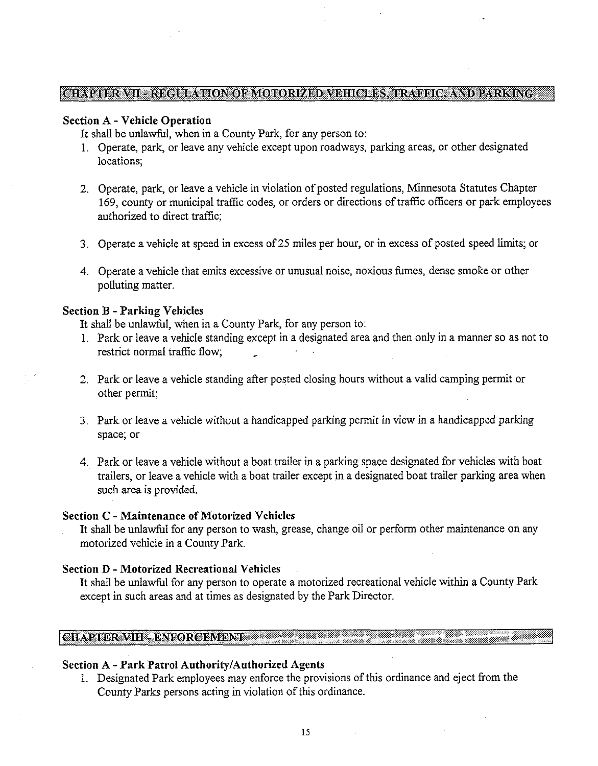#### tshave by a three presences of the contract of the contract of the state of the state of the state of the stat

#### **Section A** - **Vehicle Operation**

It shall be unlawful, when in a County Park, for any person to:

- 1. Operate, park, or leave any vehicle except upon roadways, parking areas, or other designated locations;
- 2. Operate, park, or leave a vehicle in violation of posted regulations, Minnesota Statutes Chapter 169, county or municipal traffic codes, or orders or directions of traffic officers or park employees authorized to direct traffic;
- **3.** Operate a vehicle at speed in excess of 25 miles per hour, or in excess of posted speed limits; or
- **4.** Operate a vehicle that emits excessive or unusual noise, noxious fumes, dense smoke or other polluting matter.

#### **Section B** - **Parking Vehicles**

It shall be unlawful, when in a County Park, for any person to:

- 1. Park or leave a vehicle standing except in a designated area and then only in a manner so as not to restrict normal traffic flow;
- 2. Park or leave a vehicle standing after posted closing hours without a valid camping permit or other permit;
- **3.** Park or leave a vehicle without a handicapped parking permit in view in a handicapped parking space; or
- **4.** Park or leave a vehicle without a boat trailer in a parking space designated for vehicles with boat trailers, or leave a vehicle with a boat trailer except in a designated boat trailer parking area when such area is provided.

#### **Section C** - **Maintenance of Motorized Vehicles**

It shall be unlawful for any person to wash, grease, change oil or perform other maintenance on any motorized vehicle in a County Park.

#### **Section D** - **Motorized Recreational Vehicles**

It shall be unlawful for any person to operate a motorized recreational vehicle within a County Park except in such areas and at times as designated by the Park Director.

#### CHAPTER VIII - ENFORCEMENT

#### **Section A** - **Park Patrol AuthorilylAuthorized Agents**

1. Designated Park employees may enforce the provisions of this ordinance and eject fiom the County Parks persons acting in violation of this ordinance.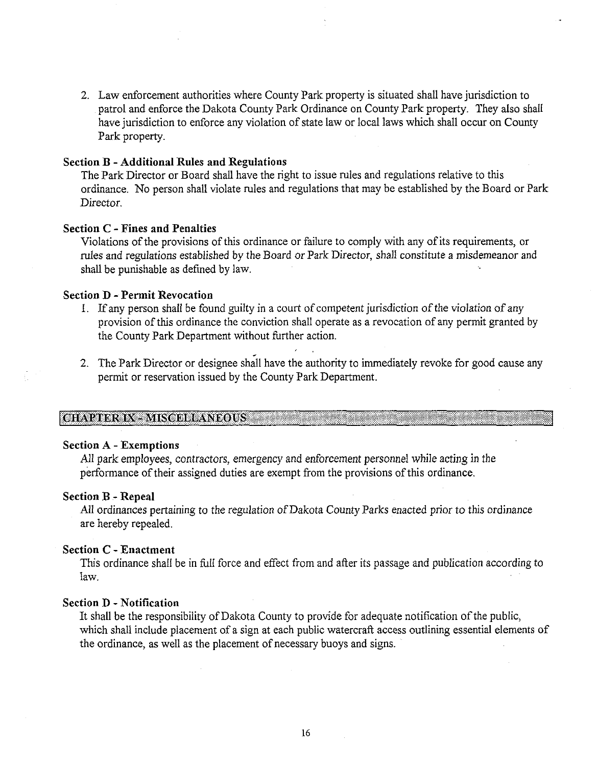2. Law enforcement authorities where County Park property is situated shall have jurisdiction to patrol and enforce the Dakota County Park Ordinance on County Park property. They also shall have jurisdiction to enforce any violation of state law or local laws which shall occur on County Park property.

#### **Section B -Additional Rules and Regulations**

The Park Director or Board shall have the right to issue rules and regulations relative to this ordinance. No person shall violate rules and regulations that may be established by the Board or Park Director.

#### **Section C** - **Fines and Penalties**

Violations of the provisions of this ordinance or failure to comply with any of its requirements, or rules and regulations established by the Board or Park Director, shall constitute a misdemeanor and shall be punishable as defined by law.

#### **Section D** - **Permit Revocation**

- I. If any person shall be found guilty in a court of competent jurisdiction of the violation of any provision of this ordinance the conviction shall operate as a revocation of any permit granted by the County Park Department without further action.
- 2. The Park Director or designee shall have the authority to immediately revoke for good cause any permit or reservation issued by the County Park Department.

#### **CHAPTER IX - MISCELLANEOUS**

#### **Section A** - **Exemptions**

AU park employees, contractors, emergency and enforcement personnel while acting in the performance of their assigned duties are exempt from the provisions of this ordinance.

#### **Section B** - **Repeal**

All ordinances pertaining to the regulation of Dakota County Parks enacted prior to this ordinance are hereby repealed.

#### **Section C -Enactment**

This ordinance shall be in fill force and effect from and after its passage and publication according to law.

#### **Section D** - **Notification**

It shall be the responsibility of Dakota County to provide for adequate notification of the public, which shall include placement of a sign at each public watercraft access outlining essential elements of the ordinance, as well as the placement of necessary buoys and signs.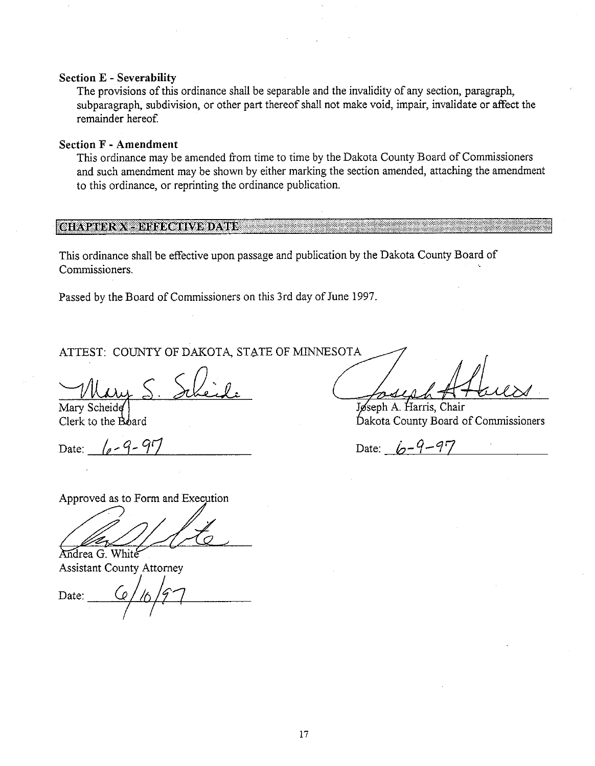#### **Section E** - **Severability**

The provisions of this ordinance shall be separable and the invalidity of any section, paragraph, subparagraph, subdivision, or other part thereof shall not make void, impair, invalidate or affect the remainder hereof.

#### **Section F** - **Amendment**

This ordinance may be amended from time to time by the Dakota County Board of Commissioners and such amendment may be shown by either marking the section amended, attaching the amendment to this ordinance, or reprinting the ordinance publication.

#### **GIAVABRA CHINE GINABDAVEL**

This ordinance shall be effective upon passage and publication by the Dakota County Board of Commissioners.

Passed by the Board of Commissioners on this 3rd day of June 1997.

ATTEST: COUNTY OF DAKOTA, STATE OF MINNESOTA

Mary Scheide

Date: *le-9-97* Date: *h-9-97* 

Jøseph A. Harris, Chair Clerk to the Board **bakota** County Board of Commissioners

Approved as to Form and Execution

Andrea G. White Assistant County Attorney ,

Date: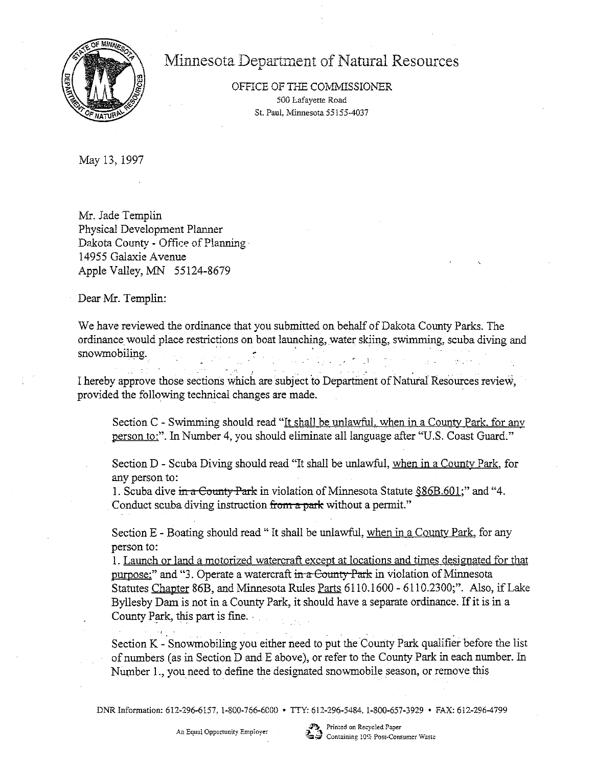

# Minnesota Department of Natural Resources

OFFICE OF THE COMMISSIONER 500 Lafayette Road St. Paul. Minnesota 55155-4037

May 13,1997

Mr. Jade Templin Physical Development Planner Dakota County - Office of Planning 14955 Galaxie Avenue Apple Valley, MN **55** 124-8679

Dear Mr. Templin:

We have reviewed the ordinance that you submitted on behalf of Dakota County Parks. The ordinance would place restrictions on boat launching, water skiing, swimming, scuba diving and snowmobiling.

. . . . I hereby approve those sections which are subject to Department of Natural Resources review, provided the following technical changes are made.

Section C - Swimming should read "It shall be unlawful, when in a County Park, for any person to:". In Number 4, you should eliminate all language after "U.S. Coast Guard."

Section D - Scuba Diving should read "It shall be unlawful, when in a County Park, for any person to:

1. Scuba dive  $\frac{1}{2}$  and "4.  $\frac{1}{2}$ " and "4. Conduct scuba diving instruction from a park without a permit."

Section E - Boating should read "It shall be unlawful, when in a County Park, for any person to:

1. Launch or land a motorized watercraft except at locations and times designated for that purpose;" and "3. Operate a watercraft in a County Park in violation of Minnesota Statutes Chapter 86B, and Minnesota Rules Parts 6110.1600 - 6110.2300;". Also, if Lake Byllesby Dam is not in a County Park, it should have a separate ordinance. If it is in a County Park, this part is fine.

Section K - Snowmobiling you either need to put the County Park qualifier before the list of numbers (as in Section D and E above), or refer to the County Park in each number. In Number I., you need to define the designated snowmobile season, or remove this

DNR Information: 612-296-6157, 1-800-766-6000 · TTY: 612-296-5484, 1-800-657-3929 · FAX: 612-296-4799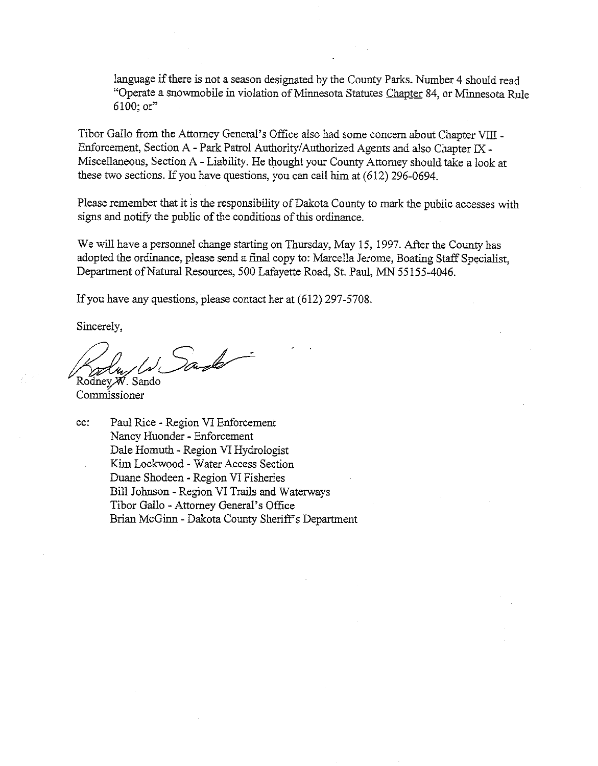language if there is not a season designated by the County Parks. Number 4 should read "Operate a snowmobile in violation of Minnesota Statutes Chapter 84, or Minnesota Rule 6100; or"

Tibor Gallo from the Attorney General's Office also had some concern about Chapter VIII -Enforcement, Section A - Park Patrol Authority/Authorized Agents and also Chapter **M** - Miscellaneous, Section A - Liability. He thought your County Attorney should take a look at these two sections. If you have questions, you can call him at (612) 296-0694.

Please remember that it is the responsibility of Dakota County to mark the public accesses with signs and notify the public of the conditions of this ordinance.

We will have a personnel change starting on Thursday, May 15, 1997. After the County has adopted the ordinance, please send a final copy to: Marcella Jerome, Boating Staff Specialist, Department of Natural Resources, 500 Lafayette Road, St. Paul, MN 55155-4046.

If you have any questions, please contact her at (612) 297-5708.

Sincerely,

Sando

Rodney *M*. Sando Commissioner

cc: Paul Rice - Region VI Enforcement Nancy Huonder - Enforcement Dale Homuth - Region VI Hydrologist Kim Lockwood - Water Access Section Duane Shodeen - Region VI Fisheries Bill Johnson - Region VI Trails and Waterways Tibor Gallo - Attorney General's Office Brian McGinn - Dakota County Sheriff's Department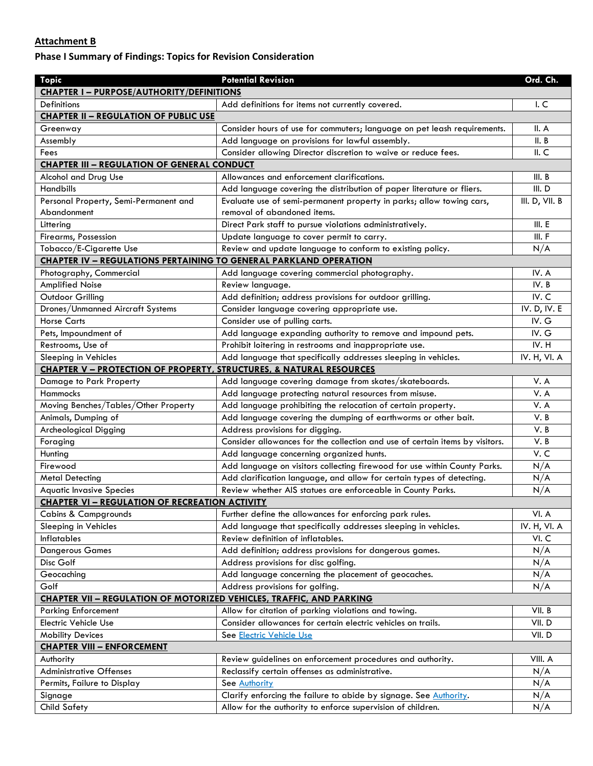#### **Attachment B**

# **Phase I Summary of Findings: Topics for Revision Consideration**

| <b>Topic</b>                                                                   | <b>Potential Revision</b>                                                    | Ord. Ch.       |
|--------------------------------------------------------------------------------|------------------------------------------------------------------------------|----------------|
| <b>CHAPTER I-PURPOSE/AUTHORITY/DEFINITIONS</b>                                 |                                                                              |                |
| <b>Definitions</b>                                                             | Add definitions for items not currently covered.                             | I.C            |
| <b>CHAPTER II - REGULATION OF PUBLIC USE</b>                                   |                                                                              |                |
| Greenway                                                                       | Consider hours of use for commuters; language on pet leash requirements.     | II. A          |
| Assembly                                                                       | Add language on provisions for lawful assembly.                              | II. B          |
| Fees                                                                           | Consider allowing Director discretion to waive or reduce fees.               | II.C           |
| <b>CHAPTER III - REGULATION OF GENERAL CONDUCT</b>                             |                                                                              |                |
| Alcohol and Drug Use                                                           | Allowances and enforcement clarifications.                                   | III. B         |
| <b>Handbills</b>                                                               | Add language covering the distribution of paper literature or fliers.        | III. D         |
| Personal Property, Semi-Permanent and                                          | Evaluate use of semi-permanent property in parks; allow towing cars,         | III. D, VII. B |
| Abandonment                                                                    | removal of abandoned items.                                                  |                |
| Littering                                                                      | Direct Park staff to pursue violations administratively.                     | III. E         |
| Firearms, Possession                                                           | Update language to cover permit to carry.                                    | III. F         |
| Tobacco/E-Cigarette Use                                                        | Review and update language to conform to existing policy.                    | N/A            |
| <b>CHAPTER IV - REGULATIONS PERTAINING TO GENERAL PARKLAND OPERATION</b>       |                                                                              |                |
| Photography, Commercial                                                        | Add language covering commercial photography.                                | IV. A          |
| <b>Amplified Noise</b>                                                         | Review language.                                                             | IV.B           |
| Outdoor Grilling                                                               | Add definition; address provisions for outdoor grilling.                     | IV.C           |
| Drones/Unmanned Aircraft Systems                                               | Consider language covering appropriate use.                                  | IV. D, IV. E   |
| <b>Horse Carts</b>                                                             | Consider use of pulling carts.                                               | IV. G          |
| Pets, Impoundment of                                                           | Add language expanding authority to remove and impound pets.                 | IV. G          |
| Restrooms, Use of                                                              | Prohibit loitering in restrooms and inappropriate use.                       | IV. H          |
| Sleeping in Vehicles                                                           | Add language that specifically addresses sleeping in vehicles.               | IV. H, VI. A   |
| <b>CHAPTER V - PROTECTION OF PROPERTY, STRUCTURES, &amp; NATURAL RESOURCES</b> |                                                                              |                |
| Damage to Park Property                                                        | Add language covering damage from skates/skateboards.                        | V.A            |
| <b>Hammocks</b>                                                                | Add language protecting natural resources from misuse.                       | V.A            |
| Moving Benches/Tables/Other Property                                           | Add language prohibiting the relocation of certain property.                 | V.A            |
| Animals, Dumping of                                                            | Add language covering the dumping of earthworms or other bait.               | V. B           |
| Archeological Digging                                                          | Address provisions for digging.                                              | V. B           |
| Foraging                                                                       | Consider allowances for the collection and use of certain items by visitors. | V.B            |
| Hunting                                                                        | Add language concerning organized hunts.                                     | V.C            |
| Firewood                                                                       | Add language on visitors collecting firewood for use within County Parks.    | N/A            |
| <b>Metal Detecting</b>                                                         | Add clarification language, and allow for certain types of detecting.        | N/A            |
| <b>Aquatic Invasive Species</b>                                                | Review whether AIS statues are enforceable in County Parks.                  | N/A            |
| <b>CHAPTER VI - REGULATION OF RECREATION ACTIVITY</b>                          |                                                                              |                |
| <b>Cabins &amp; Campgrounds</b>                                                | Further define the allowances for enforcing park rules.                      | VI. A          |
| Sleeping in Vehicles                                                           | Add language that specifically addresses sleeping in vehicles.               | IV. H, VI. A   |
| <b>Inflatables</b>                                                             | Review definition of inflatables.                                            | VI.C           |
| <b>Dangerous Games</b>                                                         | Add definition; address provisions for dangerous games.                      | N/A            |
| Disc Golf                                                                      | Address provisions for disc golfing.                                         | N/A            |
| Geocaching                                                                     | Add language concerning the placement of geocaches.                          | N/A            |
| Golf                                                                           | Address provisions for golfing.                                              | N/A            |
| <b>CHAPTER VII - REGULATION OF MOTORIZED VEHICLES, TRAFFIC, AND PARKING</b>    |                                                                              |                |
| <b>Parking Enforcement</b>                                                     | Allow for citation of parking violations and towing.                         | VII. B         |
| Electric Vehicle Use                                                           | Consider allowances for certain electric vehicles on trails.                 | VII.D          |
| <b>Mobility Devices</b>                                                        | See Electric Vehicle Use                                                     | VII.D          |
| <b>CHAPTER VIII - ENFORCEMENT</b>                                              |                                                                              |                |
| Authority                                                                      | Review guidelines on enforcement procedures and authority.                   | VIII. A        |
| <b>Administrative Offenses</b>                                                 | Reclassify certain offenses as administrative.                               | N/A            |
| Permits, Failure to Display                                                    | See Authority                                                                | N/A            |
| Signage                                                                        | Clarify enforcing the failure to abide by signage. See Authority.            | N/A            |
| <b>Child Safety</b>                                                            | Allow for the authority to enforce supervision of children.                  | N/A            |